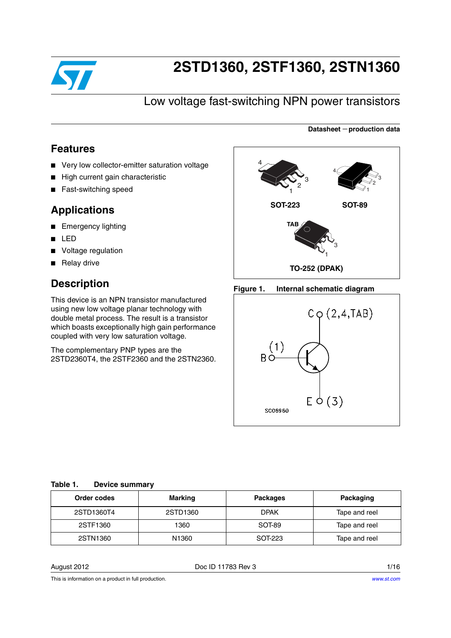

# **2STD1360, 2STF1360, 2STN1360**

## Low voltage fast-switching NPN power transistors

### **Features**

- Very low collector-emitter saturation voltage
- High current gain characteristic
- Fast-switching speed

### **Applications**

- Emergency lighting
- LED
- Voltage regulation
- Relay drive

### **Description**

This device is an NPN transistor manufactured using new low voltage planar technology with double metal process. The result is a transistor which boasts exceptionally high gain performance coupled with very low saturation voltage.

The complementary PNP types are the 2STD2360T4, the 2STF2360 and the 2STN2360.



**Datasheet** − **production data**

#### **Figure 1. Internal schematic diagram**



#### <span id="page-0-0"></span>**Table 1. Device summary**

| Order codes | Marking           | <b>Packages</b> | Packaging     |
|-------------|-------------------|-----------------|---------------|
| 2STD1360T4  | 2STD1360          | <b>DPAK</b>     | Tape and reel |
| 2STF1360    | 1360              | SOT-89          | Tape and reel |
| 2STN1360    | N <sub>1360</sub> | SOT-223         | Tape and reel |

August 2012 **Doce ID 11783 Rev 3** 1/16

This is information on a product in full production.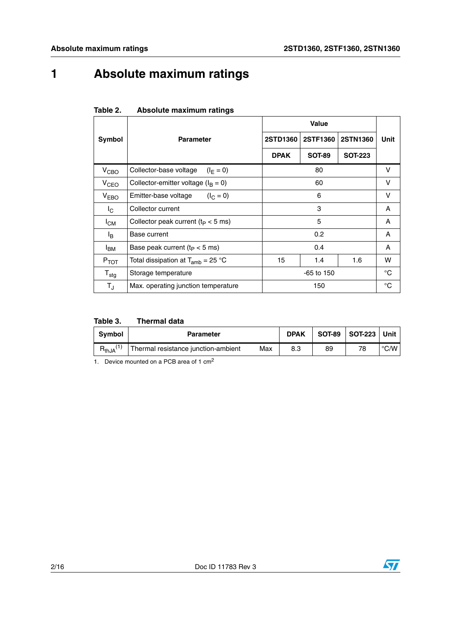# **1 Absolute maximum ratings**

|                         |                                         | Value        |               |                |              |
|-------------------------|-----------------------------------------|--------------|---------------|----------------|--------------|
| Symbol                  | <b>Parameter</b>                        | 2STD1360     | 2STF1360      | 2STN1360       | Unit         |
|                         |                                         | <b>DPAK</b>  | <b>SOT-89</b> | <b>SOT-223</b> |              |
| V <sub>CBO</sub>        | Collector-base voltage<br>$(I_F = 0)$   |              | 80            |                | v            |
| V <sub>CEO</sub>        | Collector-emitter voltage ( $I_B = 0$ ) |              | 60            |                | v            |
| V <sub>EBO</sub>        | Emitter-base voltage<br>$(I_C = 0)$     | 6            |               |                | v            |
| $I_{\rm C}$             | Collector current                       | 3            |               |                | A            |
| $I_{CM}$                | Collector peak current ( $t_P < 5$ ms)  | 5            |               |                | A            |
| $I_{\mathsf{B}}$        | Base current                            | 0.2          |               |                | A            |
| $I_{BM}$                | Base peak current ( $t_P < 5$ ms)       | 0.4          |               | A              |              |
| $P_{TOT}$               | Total dissipation at $T_{amb}$ = 25 °C  | 15           | 1.4           | 1.6            | w            |
| $T_{\text{stg}}$        | Storage temperature                     | $-65$ to 150 |               |                | $^{\circ}$ C |
| $\mathsf{T}_\mathsf{J}$ | Max. operating junction temperature     | 150          |               |                | $^{\circ}C$  |

#### **Table 2. Absolute maximum ratings**

#### **Table 3. Thermal data**

| Symbol     | <b>Parameter</b>                    |     | <b>DPAK</b> |    | SOT-89   SOT-223   Unit |                    |
|------------|-------------------------------------|-----|-------------|----|-------------------------|--------------------|
| $R_{thJA}$ | Thermal resistance junction-ambient | Max |             | 89 | 78                      | $\rm ^{\circ}$ C/W |

1. Device mounted on a PCB area of 1 cm<sup>2</sup>

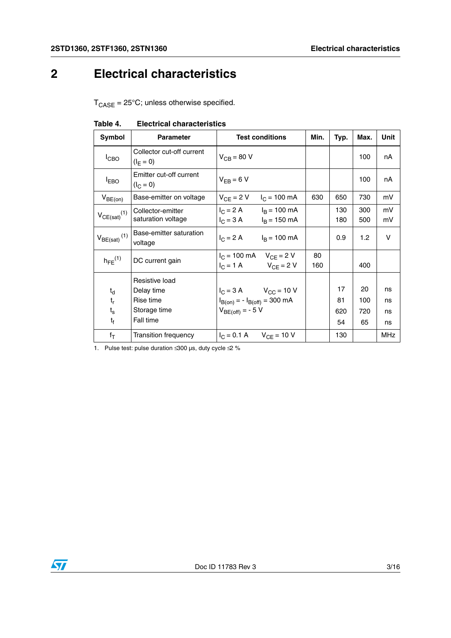# **2 Electrical characteristics**

 $T_{\text{CASE}} = 25^{\circ}\text{C}$ ; unless otherwise specified.

| Symbol                       | <b>Parameter</b>                         | <b>Test conditions</b>                                                                      | Min.      | Typ.       | Max.       | Unit     |
|------------------------------|------------------------------------------|---------------------------------------------------------------------------------------------|-----------|------------|------------|----------|
| $I_{CBO}$                    | Collector cut-off current<br>$(I_F = 0)$ | $V_{CB}$ = 80 V                                                                             |           |            | 100        | nA       |
| <b>LEBO</b>                  | Emitter cut-off current<br>$(I_C = 0)$   | $V_{FB} = 6 V$                                                                              |           |            | 100        | nA       |
| $V_{BE(on)}$                 | Base-emitter on voltage                  | $V_{CF}$ = 2 V<br>$I_C = 100 \text{ mA}$                                                    | 630       | 650        | 730        | mV       |
| $V_{CE(sat)}(1)$             | Collector-emitter<br>saturation voltage  | $I_C = 2 A$ $I_B = 100 mA$<br>$I_C = 3 A$ $I_B = 150 mA$                                    |           | 130<br>180 | 300<br>500 | mV<br>mV |
| $V_{BE(sat)}$ <sup>(1)</sup> | Base-emitter saturation<br>voltage       | $I_C = 2 A$ $I_B = 100 mA$                                                                  |           | 0.9        | 1.2        | V        |
| $h_{FF}$ <sup>(1)</sup>      | DC current gain                          | $I_C = 100 \text{ mA}$ $V_{CF} = 2 \text{ V}$<br>$I_C = 1 \text{ A}$ $V_{CF} = 2 \text{ V}$ | 80<br>160 |            | 400        |          |
|                              | Resistive load                           |                                                                                             |           |            |            |          |
| $t_{d}$                      | Delay time                               | $I_C = 3 A$ $V_{CC} = 10 V$                                                                 |           | 17         | 20         | ns       |
| $t_{r}$                      | Rise time                                | $I_{B(0n)} = -I_{B(off)} = 300 \text{ mA}$                                                  |           | 81         | 100        | ns       |
| $t_{\rm s}$                  | Storage time                             | $V_{BE(off)} = -5 V$                                                                        |           | 620        | 720        | ns       |
| $t_{\rm f}$                  | Fall time                                |                                                                                             |           | 54         | 65         | ns       |
| $f_T$                        | Transition frequency                     | $I_C = 0.1 \text{ A}$ $V_{CE} = 10 \text{ V}$                                               |           | 130        |            | MHz      |

#### **Table 4. Electrical characteristics**

1. Pulse test: pulse duration  $\leq 300$  µs, duty cycle  $\leq 2$  %

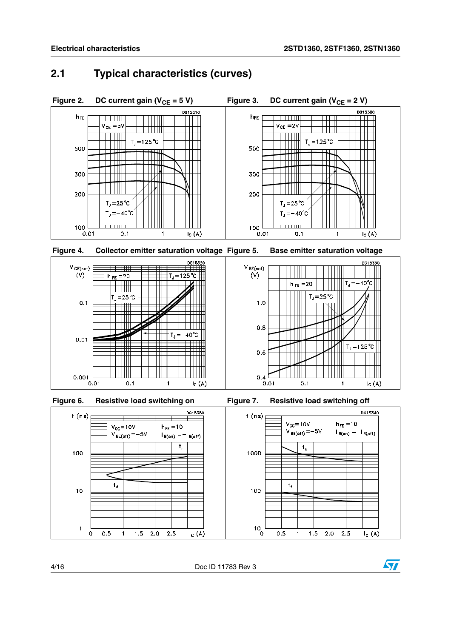### **2.1 Typical characteristics (curves)**





 $h_{FE} = 10$ 

 $t_{\rm r}$ 





╤

 $V_{\text{CC}} = 10V$ 

 $t_{\rm d}$ 

 $0.5$ 

 $\overline{1}$ 

 $1.5$ 

 $2.0$ 

 $2.5$ 

 $V_{BE(off)} = -5V$ 

 $f(ns)$ 

100

 $10$ 

 $\overline{1}$  $\circ$ 





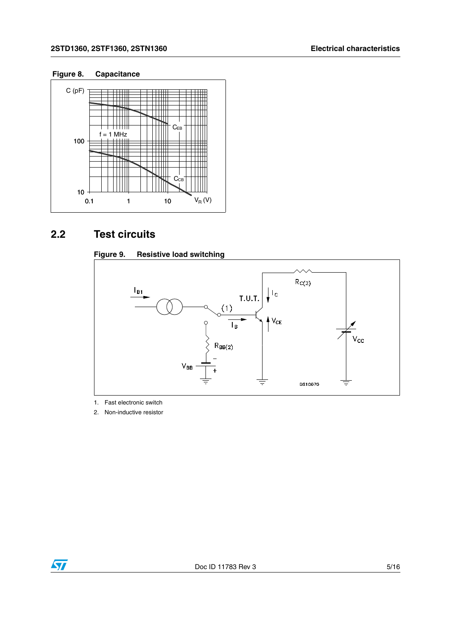#### **2STD1360, 2STF1360, 2STN1360 Electrical characteristics**

#### **Figure 8. Capacitance**



## **2.2 Test circuits**

#### **Figure 9. Resistive load switching**



1. Fast electronic switch

2. Non-inductive resistor

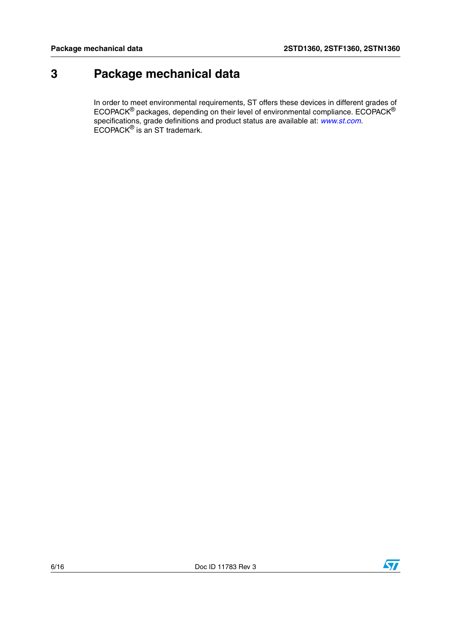## **3 Package mechanical data**

In order to meet environmental requirements, ST offers these devices in different grades of ECOPACK $^{\circledR}$  packages, depending on their level of environmental compliance. ECOPACK $^{\circledR}$ specifications, grade definitions and product status are available at: *[www.st.com](http://www.st.com)*. ECOPACK® is an ST trademark.

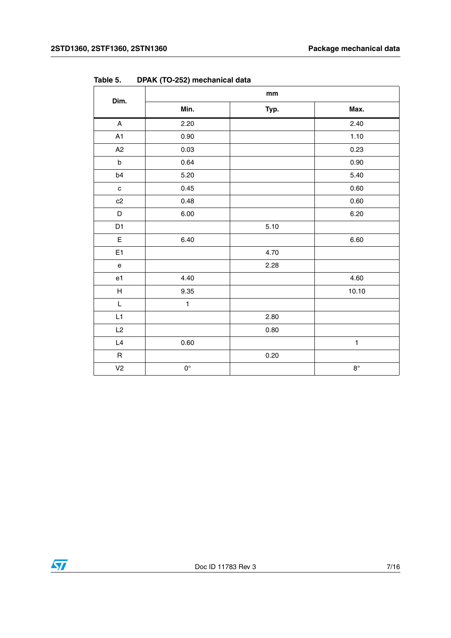|                                   |                    | $\mathop{\text{mm}}\nolimits$ |              |
|-----------------------------------|--------------------|-------------------------------|--------------|
| Dim.                              | Min.               | Typ.                          | Max.         |
| $\overline{A}$                    | 2.20               |                               | 2.40         |
| A <sub>1</sub>                    | 0.90               |                               | 1.10         |
| A <sub>2</sub>                    | 0.03               |                               | 0.23         |
| $\sf b$                           | 0.64               |                               | 0.90         |
| b4                                | 5.20               |                               | 5.40         |
| $\mathtt{C}$                      | 0.45               |                               | 0.60         |
| c2                                | 0.48               |                               | 0.60         |
| $\mathsf D$                       | 6.00               |                               | 6.20         |
| D <sub>1</sub>                    |                    | 5.10                          |              |
| $\mathsf E$                       | 6.40               |                               | 6.60         |
| E <sub>1</sub>                    |                    | 4.70                          |              |
| $\mathsf{e}% _{t}\left( t\right)$ |                    | 2.28                          |              |
| e1                                | 4.40               |                               | 4.60         |
| $\boldsymbol{\mathsf{H}}$         | 9.35               |                               | 10.10        |
| L                                 | $\mathbf{1}$       |                               |              |
| L1                                |                    | 2.80                          |              |
| L2                                |                    | 0.80                          |              |
| $\mathsf{L}4$                     | 0.60               |                               | $\mathbf{1}$ |
| $\mathsf R$                       |                    | 0.20                          |              |
| V <sub>2</sub>                    | $\mathsf{O}^\circ$ |                               | $8^{\circ}$  |

**Table 5. DPAK (TO-252) mechanical data**

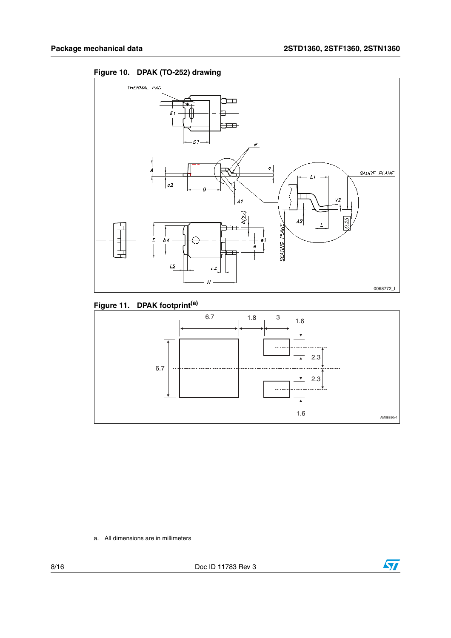



### **Figure 11. DPAK footprint(a)**



a. All dimensions are in millimeters



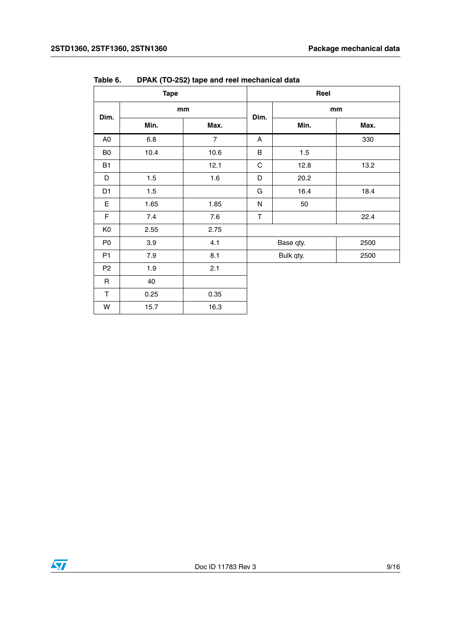| <b>Tape</b>    |       |                | Reel        |           |      |
|----------------|-------|----------------|-------------|-----------|------|
| Dim.           | mm    |                | Dim.        | mm        |      |
|                | Min.  | Max.           |             | Min.      | Max. |
| A <sub>0</sub> | 6.8   | $\overline{7}$ | A           |           | 330  |
| B0             | 10.4  | 10.6           | B           | 1.5       |      |
| B1             |       | 12.1           | $\mathsf C$ | 12.8      | 13.2 |
| D              | 1.5   | 1.6            | D           | 20.2      |      |
| D <sub>1</sub> | 1.5   |                | G           | 16.4      | 18.4 |
| E              | 1.65  | 1.85           | ${\sf N}$   | 50        |      |
| F              | $7.4$ | $7.6\,$        | $\top$      |           | 22.4 |
| K <sub>0</sub> | 2.55  | 2.75           |             |           |      |
| P <sub>0</sub> | 3.9   | 4.1            |             | Base qty. | 2500 |
| P1             | 7.9   | 8.1            |             | Bulk qty. | 2500 |
| P <sub>2</sub> | 1.9   | 2.1            |             |           |      |
| $\mathsf{R}$   | 40    |                |             |           |      |
| $\mathsf T$    | 0.25  | 0.35           |             |           |      |
| W              | 15.7  | 16.3           |             |           |      |

**Table 6. DPAK (TO-252) tape and reel mechanical data**

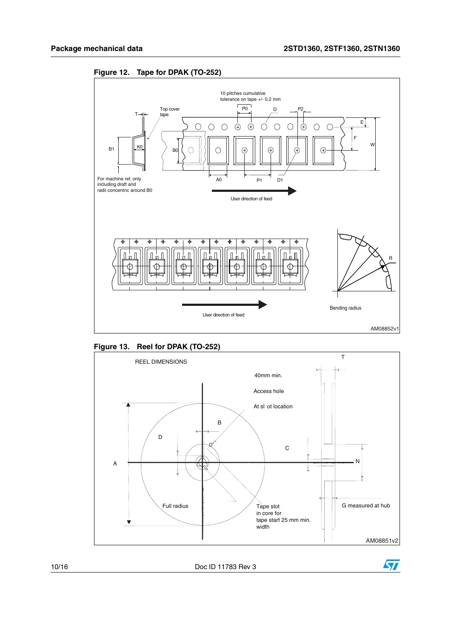

**Figure 12. Tape for DPAK (TO-252)**







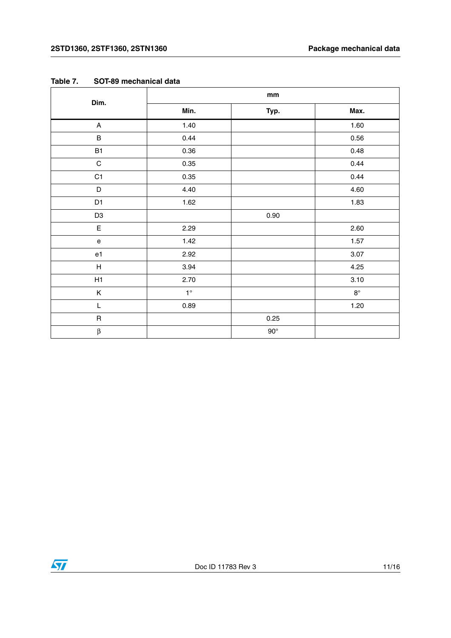| Dim.                                       | $\mathop{\text{mm}}\nolimits$ |            |             |  |  |
|--------------------------------------------|-------------------------------|------------|-------------|--|--|
|                                            | Min.                          | Typ.       | Max.        |  |  |
| $\mathsf A$                                | 1.40                          |            | 1.60        |  |  |
| $\sf B$                                    | 0.44                          |            | 0.56        |  |  |
| <b>B1</b>                                  | 0.36                          |            | 0.48        |  |  |
| $\mathbf C$                                | 0.35                          |            | 0.44        |  |  |
| C <sub>1</sub>                             | 0.35                          |            | 0.44        |  |  |
| $\mathsf D$                                | 4.40                          |            | 4.60        |  |  |
| D1                                         | 1.62                          |            | 1.83        |  |  |
| D <sub>3</sub>                             |                               | 0.90       |             |  |  |
| $\mathsf E$                                | 2.29                          |            | 2.60        |  |  |
| $\mathsf{e}% _{0}\left( \mathsf{e}\right)$ | 1.42                          |            | 1.57        |  |  |
| e1                                         | 2.92                          |            | 3.07        |  |  |
| $\boldsymbol{\mathsf{H}}$                  | 3.94                          |            | 4.25        |  |  |
| H1                                         | 2.70                          |            | 3.10        |  |  |
| Κ                                          | $1^{\circ}$                   |            | $8^{\circ}$ |  |  |
| L                                          | 0.89                          |            | 1.20        |  |  |
| $\sf R$                                    |                               | 0.25       |             |  |  |
| $\boldsymbol{\beta}$                       |                               | $90^\circ$ |             |  |  |

| Table 7. |  | SOT-89 mechanical data |  |
|----------|--|------------------------|--|
|----------|--|------------------------|--|

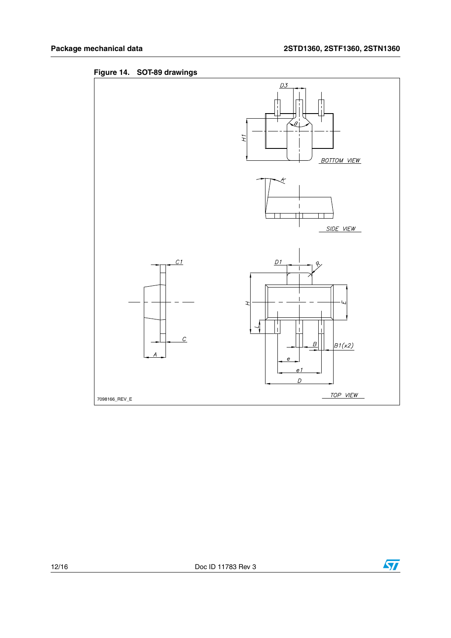

**Figure 14. SOT-89 drawings**

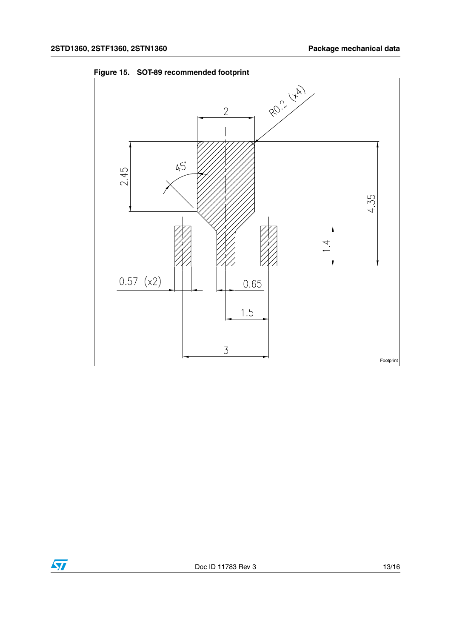

**Figure 15. SOT-89 recommended footprint**

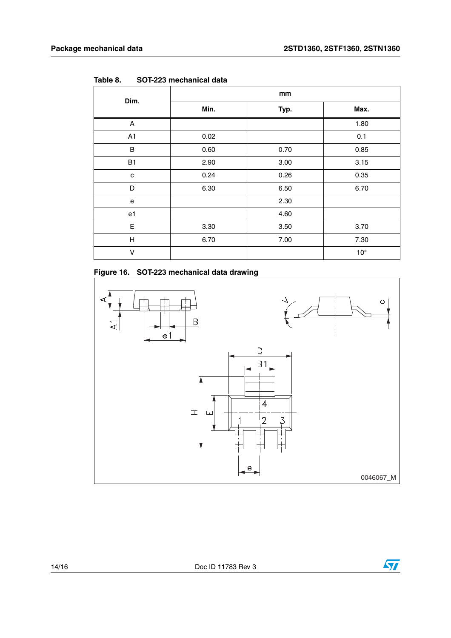| Dim.                    | mm   |      |              |  |  |
|-------------------------|------|------|--------------|--|--|
|                         | Min. | Typ. | Max.         |  |  |
| A                       |      |      | 1.80         |  |  |
| A1                      | 0.02 |      | 0.1          |  |  |
| $\sf B$                 | 0.60 | 0.70 | 0.85         |  |  |
| B1                      | 2.90 | 3.00 | 3.15         |  |  |
| C                       | 0.24 | 0.26 | 0.35         |  |  |
| D                       | 6.30 | 6.50 | 6.70         |  |  |
| e                       |      | 2.30 |              |  |  |
| e1                      |      | 4.60 |              |  |  |
| E                       | 3.30 | 3.50 | 3.70         |  |  |
| $\overline{\mathsf{H}}$ | 6.70 | 7.00 | 7.30         |  |  |
| V                       |      |      | $10^{\circ}$ |  |  |

**Table 8. SOT-223 mechanical data**



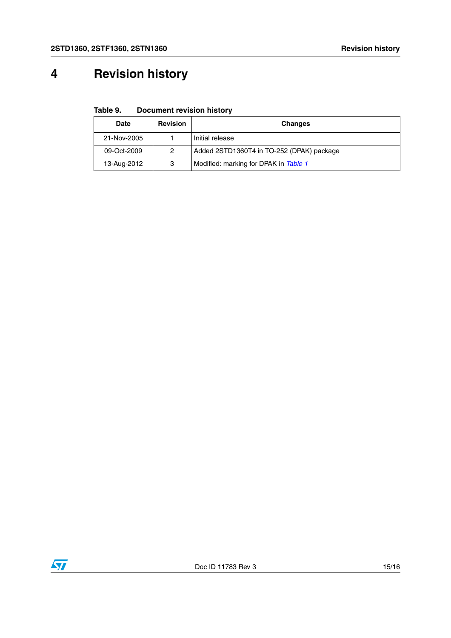# **4 Revision history**

**Table 9. Document revision history**

| <b>Date</b> | <b>Revision</b> | <b>Changes</b>                            |
|-------------|-----------------|-------------------------------------------|
| 21-Nov-2005 |                 | Initial release                           |
| 09-Oct-2009 | 2               | Added 2STD1360T4 in TO-252 (DPAK) package |
| 13-Aug-2012 | 3               | Modified: marking for DPAK in Table 1     |